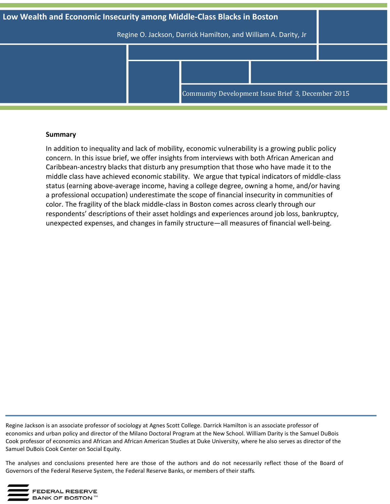

## **Summary**

In addition to inequality and lack of mobility, economic vulnerability is a growing public policy concern. In this issue brief, we offer insights from interviews with both African American and Caribbean-ancestry blacks that disturb any presumption that those who have made it to the middle class have achieved economic stability. We argue that typical indicators of middle-class status (earning above-average income, having a college degree, owning a home, and/or having a professional occupation) underestimate the scope of financial insecurity in communities of color. The fragility of the black middle-class in Boston comes across clearly through our respondents' descriptions of their asset holdings and experiences around job loss, bankruptcy, unexpected expenses, and changes in family structure—all measures of financial well-being.

Regine Jackson is an associate professor of sociology at Agnes Scott College. Darrick Hamilton is an associate professor of economics and urban policy and director of the Milano Doctoral Program at the New School. William Darity is the Samuel DuBois Cook professor of economics and African and African American Studies at Duke University, where he also serves as director of the Samuel DuBois Cook Center on Social Equity.

 Governors of the Federal Reserve System, the Federal Reserve Banks, or members of their staffs. The analyses and conclusions presented here are those of the authors and do not necessarily reflect those of the Board of

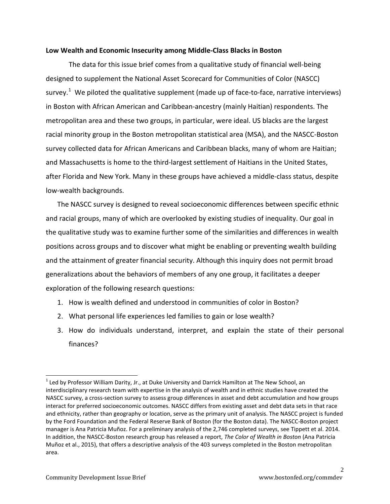#### **Low Wealth and Economic Insecurity among Middle-Class Blacks in Boston**

The data for this issue brief comes from a qualitative study of financial well-being designed to supplement the National Asset Scorecard for Communities of Color (NASCC) survey.<sup>[1](#page-1-0)</sup> We piloted the qualitative supplement (made up of face-to-face, narrative interviews) in Boston with African American and Caribbean-ancestry (mainly Haitian) respondents. The metropolitan area and these two groups, in particular, were ideal. US blacks are the largest racial minority group in the Boston metropolitan statistical area (MSA), and the NASCC-Boston survey collected data for African Americans and Caribbean blacks, many of whom are Haitian; and Massachusetts is home to the third-largest settlement of Haitians in the United States, after Florida and New York. Many in these groups have achieved a middle-class status, despite low-wealth backgrounds.

The NASCC survey is designed to reveal socioeconomic differences between specific ethnic and racial groups, many of which are overlooked by existing studies of inequality. Our goal in the qualitative study was to examine further some of the similarities and differences in wealth positions across groups and to discover what might be enabling or preventing wealth building and the attainment of greater financial security. Although this inquiry does not permit broad generalizations about the behaviors of members of any one group, it facilitates a deeper exploration of the following research questions:

- 1. How is wealth defined and understood in communities of color in Boston?
- 2. What personal life experiences led families to gain or lose wealth?
- 3. How do individuals understand, interpret, and explain the state of their personal finances?

<span id="page-1-0"></span> $<sup>1</sup>$  Led by Professor William Darity, Jr., at Duke University and Darrick Hamilton at The New School, an</sup> interdisciplinary research team with expertise in the analysis of wealth and in ethnic studies have created the NASCC survey, a cross-section survey to assess group differences in asset and debt accumulation and how groups interact for preferred socioeconomic outcomes. NASCC differs from existing asset and debt data sets in that race and ethnicity, rather than geography or location, serve as the primary unit of analysis. The NASCC project is funded by the Ford Foundation and the Federal Reserve Bank of Boston (for the Boston data). The NASCC-Boston project manager is Ana Patricia Muñoz. For a preliminary analysis of the 2,746 completed surveys, see Tippett et al. 2014. In addition, the NASCC-Boston research group has released a report, *The Color of Wealth in Boston* (Ana Patricia Muñoz et al., 2015), that offers a descriptive analysis of the 403 surveys completed in the Boston metropolitan area.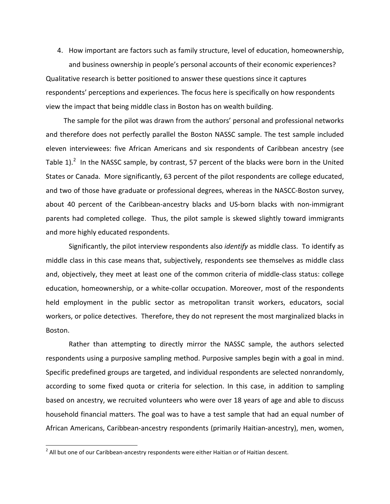4. How important are factors such as family structure, level of education, homeownership, and business ownership in people's personal accounts of their economic experiences? Qualitative research is better positioned to answer these questions since it captures respondents' perceptions and experiences. The focus here is specifically on how respondents view the impact that being middle class in Boston has on wealth building.

The sample for the pilot was drawn from the authors' personal and professional networks and therefore does not perfectly parallel the Boston NASSC sample. The test sample included eleven interviewees: five African Americans and six respondents of Caribbean ancestry (see Table 1).<sup>[2](#page-2-0)</sup> In the NASSC sample, by contrast, 57 percent of the blacks were born in the United States or Canada. More significantly, 63 percent of the pilot respondents are college educated, and two of those have graduate or professional degrees, whereas in the NASCC-Boston survey, about 40 percent of the Caribbean-ancestry blacks and US-born blacks with non-immigrant parents had completed college. Thus, the pilot sample is skewed slightly toward immigrants and more highly educated respondents.

Significantly, the pilot interview respondents also *identify* as middle class. To identify as middle class in this case means that, subjectively, respondents see themselves as middle class and, objectively, they meet at least one of the common criteria of middle-class status: college education, homeownership, or a white-collar occupation. Moreover, most of the respondents held employment in the public sector as metropolitan transit workers, educators, social workers, or police detectives. Therefore, they do not represent the most marginalized blacks in Boston.

Rather than attempting to directly mirror the NASSC sample, the authors selected respondents using a purposive sampling method. Purposive samples begin with a goal in mind. Specific predefined groups are targeted, and individual respondents are selected nonrandomly, according to some fixed quota or criteria for selection. In this case, in addition to sampling based on ancestry, we recruited volunteers who were over 18 years of age and able to discuss household financial matters. The goal was to have a test sample that had an equal number of African Americans, Caribbean-ancestry respondents (primarily Haitian-ancestry), men, women,

<span id="page-2-0"></span> $2$  All but one of our Caribbean-ancestry respondents were either Haitian or of Haitian descent.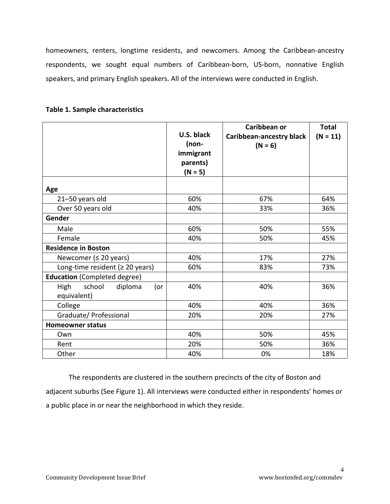homeowners, renters, longtime residents, and newcomers. Among the Caribbean-ancestry respondents, we sought equal numbers of Caribbean-born, US-born, nonnative English speakers, and primary English speakers. All of the interviews were conducted in English.

|                                               | U.S. black<br>(non-<br>immigrant<br>parents)<br>$(N = 5)$ | Caribbean or<br><b>Caribbean-ancestry black</b><br>$(N = 6)$ | <b>Total</b><br>$(N = 11)$ |
|-----------------------------------------------|-----------------------------------------------------------|--------------------------------------------------------------|----------------------------|
| Age                                           |                                                           |                                                              |                            |
| 21-50 years old                               | 60%                                                       | 67%                                                          | 64%                        |
| Over 50 years old                             | 40%                                                       | 33%                                                          | 36%                        |
| Gender                                        |                                                           |                                                              |                            |
| Male                                          | 60%                                                       | 50%                                                          | 55%                        |
| Female                                        | 40%                                                       | 50%                                                          | 45%                        |
| <b>Residence in Boston</b>                    |                                                           |                                                              |                            |
| Newcomer ( $\leq$ 20 years)                   | 40%                                                       | 17%                                                          | 27%                        |
| Long-time resident ( $\geq 20$ years)         | 60%                                                       | 83%                                                          | 73%                        |
| <b>Education</b> (Completed degree)           |                                                           |                                                              |                            |
| school<br>diploma<br>High<br>(<br>equivalent) | 40%                                                       | 40%                                                          | 36%                        |
| College                                       | 40%                                                       | 40%                                                          | 36%                        |
| Graduate/ Professional                        | 20%                                                       | 20%                                                          | 27%                        |
| <b>Homeowner status</b>                       |                                                           |                                                              |                            |
| Own                                           | 40%                                                       | 50%                                                          | 45%                        |
| Rent                                          | 20%                                                       | 50%                                                          | 36%                        |
| Other                                         | 40%                                                       | 0%                                                           | 18%                        |

# **Table 1. Sample characteristics**

The respondents are clustered in the southern precincts of the city of Boston and adjacent suburbs (See Figure 1). All interviews were conducted either in respondents' homes or a public place in or near the neighborhood in which they reside.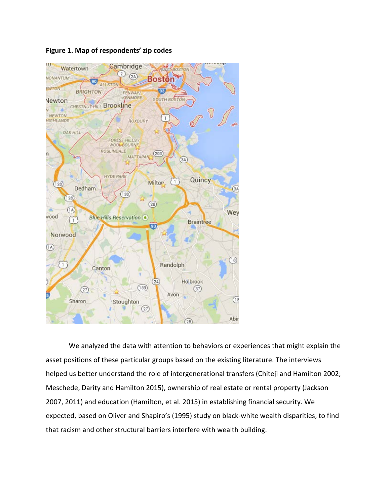

# **Figure 1. Map of respondents' zip codes**

We analyzed the data with attention to behaviors or experiences that might explain the asset positions of these particular groups based on the existing literature. The interviews helped us better understand the role of intergenerational transfers (Chiteji and Hamilton 2002; Meschede, Darity and Hamilton 2015), ownership of real estate or rental property (Jackson 2007, 2011) and education (Hamilton, et al. 2015) in establishing financial security. We expected, based on Oliver and Shapiro's (1995) study on black-white wealth disparities, to find that racism and other structural barriers interfere with wealth building.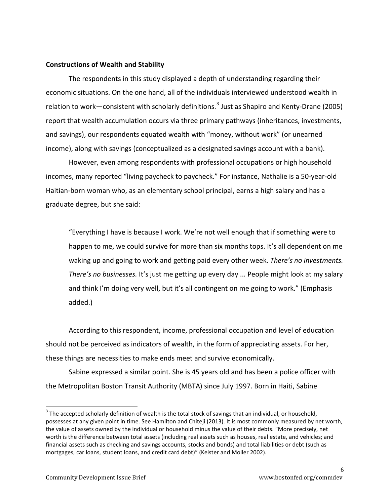### **Constructions of Wealth and Stability**

The respondents in this study displayed a depth of understanding regarding their economic situations. On the one hand, all of the individuals interviewed understood wealth in relation to work—consistent with scholarly definitions.<sup>[3](#page-5-0)</sup> Just as Shapiro and Kenty-Drane (2005) report that wealth accumulation occurs via three primary pathways (inheritances, investments, and savings), our respondents equated wealth with "money, without work" (or unearned income), along with savings (conceptualized as a designated savings account with a bank).

However, even among respondents with professional occupations or high household incomes, many reported "living paycheck to paycheck." For instance, Nathalie is a 50-year-old Haitian-born woman who, as an elementary school principal, earns a high salary and has a graduate degree, but she said:

"Everything I have is because I work. We're not well enough that if something were to happen to me, we could survive for more than six months tops. It's all dependent on me waking up and going to work and getting paid every other week. *There's no investments. There's no businesses.* It's just me getting up every day ... People might look at my salary and think I'm doing very well, but it's all contingent on me going to work." (Emphasis added.)

According to this respondent, income, professional occupation and level of education should not be perceived as indicators of wealth, in the form of appreciating assets. For her, these things are necessities to make ends meet and survive economically.

Sabine expressed a similar point. She is 45 years old and has been a police officer with the Metropolitan Boston Transit Authority (MBTA) since July 1997. Born in Haiti, Sabine

<span id="page-5-0"></span><sup>&</sup>lt;sup>3</sup> The accepted scholarly definition of wealth is the total stock of savings that an individual, or household, possesses at any given point in time. See Hamilton and Chiteji (2013). It is most commonly measured by net worth, the value of assets owned by the individual or household minus the value of their debts. "More precisely, net worth is the difference between total assets (including real assets such as houses, real estate, and vehicles; and financial assets such as checking and savings accounts, stocks and bonds) and total liabilities or debt (such as mortgages, car loans, student loans, and credit card debt)" (Keister and Moller 2002).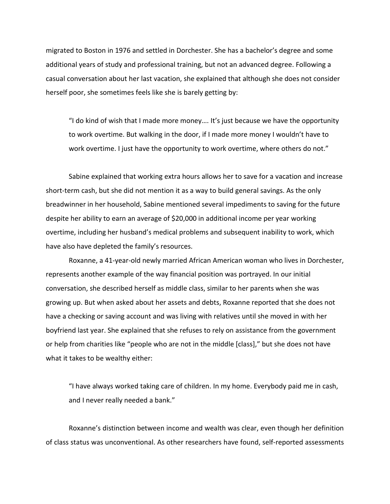migrated to Boston in 1976 and settled in Dorchester. She has a bachelor's degree and some additional years of study and professional training, but not an advanced degree. Following a casual conversation about her last vacation, she explained that although she does not consider herself poor, she sometimes feels like she is barely getting by:

"I do kind of wish that I made more money…. It's just because we have the opportunity to work overtime. But walking in the door, if I made more money I wouldn't have to work overtime. I just have the opportunity to work overtime, where others do not."

Sabine explained that working extra hours allows her to save for a vacation and increase short-term cash, but she did not mention it as a way to build general savings. As the only breadwinner in her household, Sabine mentioned several impediments to saving for the future despite her ability to earn an average of \$20,000 in additional income per year working overtime, including her husband's medical problems and subsequent inability to work, which have also have depleted the family's resources.

Roxanne, a 41-year-old newly married African American woman who lives in Dorchester, represents another example of the way financial position was portrayed. In our initial conversation, she described herself as middle class, similar to her parents when she was growing up. But when asked about her assets and debts, Roxanne reported that she does not have a checking or saving account and was living with relatives until she moved in with her boyfriend last year. She explained that she refuses to rely on assistance from the government or help from charities like "people who are not in the middle [class]," but she does not have what it takes to be wealthy either:

"I have always worked taking care of children. In my home. Everybody paid me in cash, and I never really needed a bank."

Roxanne's distinction between income and wealth was clear, even though her definition of class status was unconventional. As other researchers have found, self-reported assessments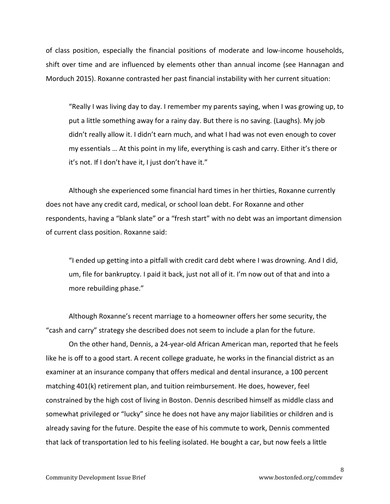of class position, especially the financial positions of moderate and low-income households, shift over time and are influenced by elements other than annual income (see Hannagan and Morduch 2015). Roxanne contrasted her past financial instability with her current situation:

"Really I was living day to day. I remember my parents saying, when I was growing up, to put a little something away for a rainy day. But there is no saving. (Laughs). My job didn't really allow it. I didn't earn much, and what I had was not even enough to cover my essentials … At this point in my life, everything is cash and carry. Either it's there or it's not. If I don't have it, I just don't have it."

Although she experienced some financial hard times in her thirties, Roxanne currently does not have any credit card, medical, or school loan debt. For Roxanne and other respondents, having a "blank slate" or a "fresh start" with no debt was an important dimension of current class position. Roxanne said:

"I ended up getting into a pitfall with credit card debt where I was drowning. And I did, um, file for bankruptcy. I paid it back, just not all of it. I'm now out of that and into a more rebuilding phase."

Although Roxanne's recent marriage to a homeowner offers her some security, the "cash and carry" strategy she described does not seem to include a plan for the future.

On the other hand, Dennis, a 24-year-old African American man, reported that he feels like he is off to a good start. A recent college graduate, he works in the financial district as an examiner at an insurance company that offers medical and dental insurance, a 100 percent matching 401(k) retirement plan, and tuition reimbursement. He does, however, feel constrained by the high cost of living in Boston. Dennis described himself as middle class and somewhat privileged or "lucky" since he does not have any major liabilities or children and is already saving for the future. Despite the ease of his commute to work, Dennis commented that lack of transportation led to his feeling isolated. He bought a car, but now feels a little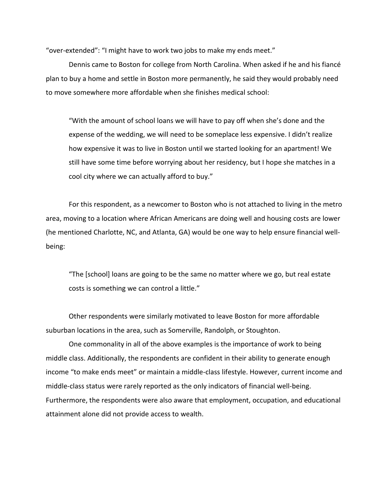"over-extended": "I might have to work two jobs to make my ends meet."

Dennis came to Boston for college from North Carolina. When asked if he and his fiancé plan to buy a home and settle in Boston more permanently, he said they would probably need to move somewhere more affordable when she finishes medical school:

"With the amount of school loans we will have to pay off when she's done and the expense of the wedding, we will need to be someplace less expensive. I didn't realize how expensive it was to live in Boston until we started looking for an apartment! We still have some time before worrying about her residency, but I hope she matches in a cool city where we can actually afford to buy."

For this respondent, as a newcomer to Boston who is not attached to living in the metro area, moving to a location where African Americans are doing well and housing costs are lower (he mentioned Charlotte, NC, and Atlanta, GA) would be one way to help ensure financial wellbeing:

"The [school] loans are going to be the same no matter where we go, but real estate costs is something we can control a little."

Other respondents were similarly motivated to leave Boston for more affordable suburban locations in the area, such as Somerville, Randolph, or Stoughton.

One commonality in all of the above examples is the importance of work to being middle class. Additionally, the respondents are confident in their ability to generate enough income "to make ends meet" or maintain a middle-class lifestyle. However, current income and middle-class status were rarely reported as the only indicators of financial well-being. Furthermore, the respondents were also aware that employment, occupation, and educational attainment alone did not provide access to wealth.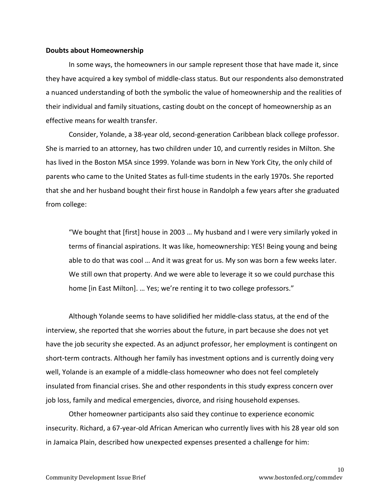#### **Doubts about Homeownership**

In some ways, the homeowners in our sample represent those that have made it, since they have acquired a key symbol of middle-class status. But our respondents also demonstrated a nuanced understanding of both the symbolic the value of homeownership and the realities of their individual and family situations, casting doubt on the concept of homeownership as an effective means for wealth transfer.

Consider, Yolande, a 38-year old, second-generation Caribbean black college professor. She is married to an attorney, has two children under 10, and currently resides in Milton. She has lived in the Boston MSA since 1999. Yolande was born in New York City, the only child of parents who came to the United States as full-time students in the early 1970s. She reported that she and her husband bought their first house in Randolph a few years after she graduated from college:

"We bought that [first] house in 2003 … My husband and I were very similarly yoked in terms of financial aspirations. It was like, homeownership: YES! Being young and being able to do that was cool … And it was great for us. My son was born a few weeks later. We still own that property. And we were able to leverage it so we could purchase this home [in East Milton]. ... Yes; we're renting it to two college professors."

Although Yolande seems to have solidified her middle-class status, at the end of the interview, she reported that she worries about the future, in part because she does not yet have the job security she expected. As an adjunct professor, her employment is contingent on short-term contracts. Although her family has investment options and is currently doing very well, Yolande is an example of a middle-class homeowner who does not feel completely insulated from financial crises. She and other respondents in this study express concern over job loss, family and medical emergencies, divorce, and rising household expenses.

Other homeowner participants also said they continue to experience economic insecurity. Richard, a 67-year-old African American who currently lives with his 28 year old son in Jamaica Plain, described how unexpected expenses presented a challenge for him: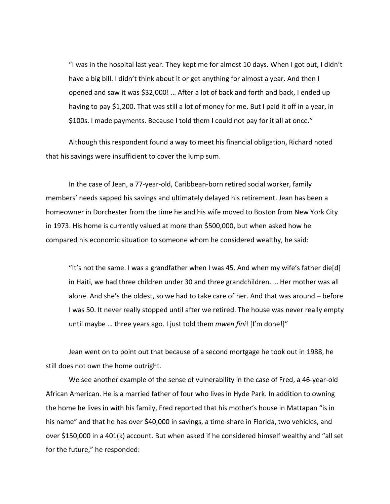"I was in the hospital last year. They kept me for almost 10 days. When I got out, I didn't have a big bill. I didn't think about it or get anything for almost a year. And then I opened and saw it was \$32,000! … After a lot of back and forth and back, I ended up having to pay \$1,200. That was still a lot of money for me. But I paid it off in a year, in \$100s. I made payments. Because I told them I could not pay for it all at once."

Although this respondent found a way to meet his financial obligation, Richard noted that his savings were insufficient to cover the lump sum.

In the case of Jean, a 77-year-old, Caribbean-born retired social worker, family members' needs sapped his savings and ultimately delayed his retirement. Jean has been a homeowner in Dorchester from the time he and his wife moved to Boston from New York City in 1973. His home is currently valued at more than \$500,000, but when asked how he compared his economic situation to someone whom he considered wealthy, he said:

"It's not the same. I was a grandfather when I was 45. And when my wife's father die[d] in Haiti, we had three children under 30 and three grandchildren. … Her mother was all alone. And she's the oldest, so we had to take care of her. And that was around – before I was 50. It never really stopped until after we retired. The house was never really empty until maybe … three years ago. I just told them *mwen fini*! [I'm done!]"

Jean went on to point out that because of a second mortgage he took out in 1988, he still does not own the home outright.

We see another example of the sense of vulnerability in the case of Fred, a 46-year-old African American. He is a married father of four who lives in Hyde Park. In addition to owning the home he lives in with his family, Fred reported that his mother's house in Mattapan "is in his name" and that he has over \$40,000 in savings, a time-share in Florida, two vehicles, and over \$150,000 in a 401(k) account. But when asked if he considered himself wealthy and "all set for the future," he responded: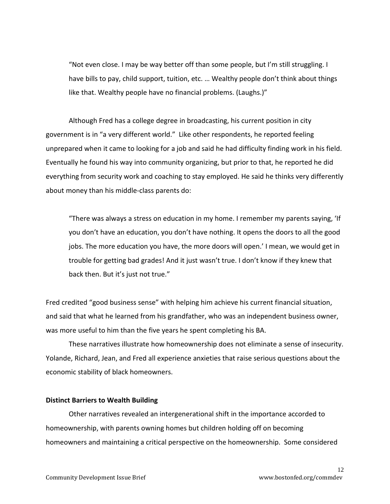"Not even close. I may be way better off than some people, but I'm still struggling. I have bills to pay, child support, tuition, etc. … Wealthy people don't think about things like that. Wealthy people have no financial problems. (Laughs.)"

Although Fred has a college degree in broadcasting, his current position in city government is in "a very different world." Like other respondents, he reported feeling unprepared when it came to looking for a job and said he had difficulty finding work in his field. Eventually he found his way into community organizing, but prior to that, he reported he did everything from security work and coaching to stay employed. He said he thinks very differently about money than his middle-class parents do:

"There was always a stress on education in my home. I remember my parents saying, 'If you don't have an education, you don't have nothing. It opens the doors to all the good jobs. The more education you have, the more doors will open.' I mean, we would get in trouble for getting bad grades! And it just wasn't true. I don't know if they knew that back then. But it's just not true."

Fred credited "good business sense" with helping him achieve his current financial situation, and said that what he learned from his grandfather, who was an independent business owner, was more useful to him than the five years he spent completing his BA.

These narratives illustrate how homeownership does not eliminate a sense of insecurity. Yolande, Richard, Jean, and Fred all experience anxieties that raise serious questions about the economic stability of black homeowners.

#### **Distinct Barriers to Wealth Building**

Other narratives revealed an intergenerational shift in the importance accorded to homeownership, with parents owning homes but children holding off on becoming homeowners and maintaining a critical perspective on the homeownership. Some considered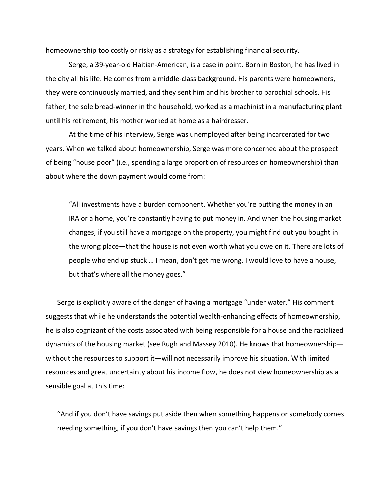homeownership too costly or risky as a strategy for establishing financial security.

Serge, a 39-year-old Haitian-American, is a case in point. Born in Boston, he has lived in the city all his life. He comes from a middle-class background. His parents were homeowners, they were continuously married, and they sent him and his brother to parochial schools. His father, the sole bread-winner in the household, worked as a machinist in a manufacturing plant until his retirement; his mother worked at home as a hairdresser.

At the time of his interview, Serge was unemployed after being incarcerated for two years. When we talked about homeownership, Serge was more concerned about the prospect of being "house poor" (i.e., spending a large proportion of resources on homeownership) than about where the down payment would come from:

"All investments have a burden component. Whether you're putting the money in an IRA or a home, you're constantly having to put money in. And when the housing market changes, if you still have a mortgage on the property, you might find out you bought in the wrong place—that the house is not even worth what you owe on it. There are lots of people who end up stuck … I mean, don't get me wrong. I would love to have a house, but that's where all the money goes."

Serge is explicitly aware of the danger of having a mortgage "under water." His comment suggests that while he understands the potential wealth-enhancing effects of homeownership, he is also cognizant of the costs associated with being responsible for a house and the racialized dynamics of the housing market (see Rugh and Massey 2010). He knows that homeownership without the resources to support it—will not necessarily improve his situation. With limited resources and great uncertainty about his income flow, he does not view homeownership as a sensible goal at this time:

"And if you don't have savings put aside then when something happens or somebody comes needing something, if you don't have savings then you can't help them."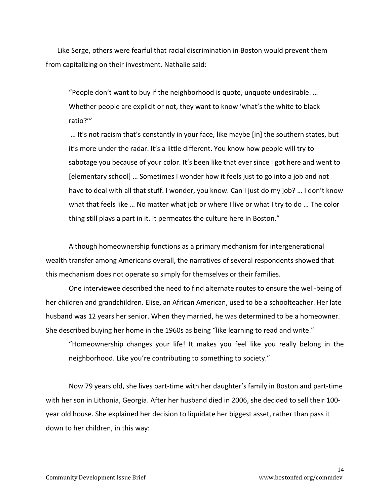Like Serge, others were fearful that racial discrimination in Boston would prevent them from capitalizing on their investment. Nathalie said:

"People don't want to buy if the neighborhood is quote, unquote undesirable. … Whether people are explicit or not, they want to know 'what's the white to black ratio?'"

… It's not racism that's constantly in your face, like maybe [in] the southern states, but it's more under the radar. It's a little different. You know how people will try to sabotage you because of your color. It's been like that ever since I got here and went to [elementary school] … Sometimes I wonder how it feels just to go into a job and not have to deal with all that stuff. I wonder, you know. Can I just do my job? … I don't know what that feels like … No matter what job or where I live or what I try to do … The color thing still plays a part in it. It permeates the culture here in Boston."

Although homeownership functions as a primary mechanism for intergenerational wealth transfer among Americans overall, the narratives of several respondents showed that this mechanism does not operate so simply for themselves or their families.

One interviewee described the need to find alternate routes to ensure the well-being of her children and grandchildren. Elise, an African American, used to be a schoolteacher. Her late husband was 12 years her senior. When they married, he was determined to be a homeowner. She described buying her home in the 1960s as being "like learning to read and write."

"Homeownership changes your life! It makes you feel like you really belong in the neighborhood. Like you're contributing to something to society."

Now 79 years old, she lives part-time with her daughter's family in Boston and part-time with her son in Lithonia, Georgia. After her husband died in 2006, she decided to sell their 100 year old house. She explained her decision to liquidate her biggest asset, rather than pass it down to her children, in this way: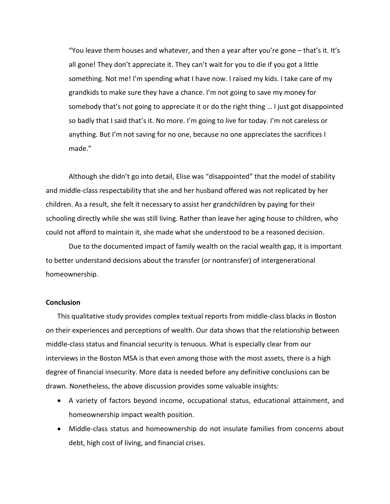"You leave them houses and whatever, and then a year after you're gone – that's it. It's all gone! They don't appreciate it. They can't wait for you to die if you got a little something. Not me! I'm spending what I have now. I raised my kids. I take care of my grandkids to make sure they have a chance. I'm not going to save my money for somebody that's not going to appreciate it or do the right thing … I just got disappointed so badly that I said that's it. No more. I'm going to live for today. I'm not careless or anything. But I'm not saving for no one, because no one appreciates the sacrifices I made."

Although she didn't go into detail, Elise was "disappointed" that the model of stability and middle-class respectability that she and her husband offered was not replicated by her children. As a result, she felt it necessary to assist her grandchildren by paying for their schooling directly while she was still living. Rather than leave her aging house to children, who could not afford to maintain it, she made what she understood to be a reasoned decision.

Due to the documented impact of family wealth on the racial wealth gap, it is important to better understand decisions about the transfer (or nontransfer) of intergenerational homeownership.

#### **Conclusion**

This qualitative study provides complex textual reports from middle-class blacks in Boston on their experiences and perceptions of wealth. Our data shows that the relationship between middle-class status and financial security is tenuous. What is especially clear from our interviews in the Boston MSA is that even among those with the most assets, there is a high degree of financial insecurity. More data is needed before any definitive conclusions can be drawn. Nonetheless, the above discussion provides some valuable insights:

- A variety of factors beyond income, occupational status, educational attainment, and homeownership impact wealth position.
- Middle-class status and homeownership do not insulate families from concerns about debt, high cost of living, and financial crises.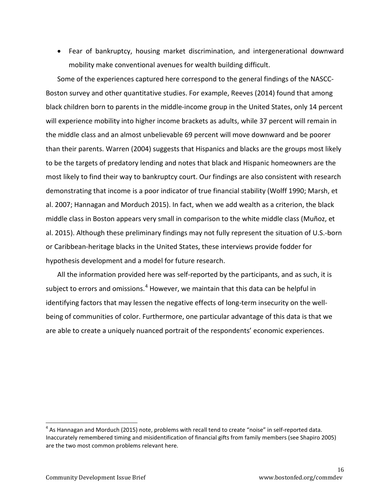• Fear of bankruptcy, housing market discrimination, and intergenerational downward mobility make conventional avenues for wealth building difficult.

Some of the experiences captured here correspond to the general findings of the NASCC-Boston survey and other quantitative studies. For example, Reeves (2014) found that among black children born to parents in the middle-income group in the United States, only 14 percent will experience mobility into higher income brackets as adults, while 37 percent will remain in the middle class and an almost unbelievable 69 percent will move downward and be poorer than their parents. Warren (2004) suggests that Hispanics and blacks are the groups most likely to be the targets of predatory lending and notes that black and Hispanic homeowners are the most likely to find their way to bankruptcy court. Our findings are also consistent with research demonstrating that income is a poor indicator of true financial stability (Wolff 1990; Marsh, et al. 2007; Hannagan and Morduch 2015). In fact, when we add wealth as a criterion, the black middle class in Boston appears very small in comparison to the white middle class (Muñoz, et al. 2015). Although these preliminary findings may not fully represent the situation of U.S.-born or Caribbean-heritage blacks in the United States, these interviews provide fodder for hypothesis development and a model for future research.

All the information provided here was self-reported by the participants, and as such, it is subject to errors and omissions.<sup>[4](#page-15-0)</sup> However, we maintain that this data can be helpful in identifying factors that may lessen the negative effects of long-term insecurity on the wellbeing of communities of color. Furthermore, one particular advantage of this data is that we are able to create a uniquely nuanced portrait of the respondents' economic experiences.

<span id="page-15-0"></span> $<sup>4</sup>$  As Hannagan and Morduch (2015) note, problems with recall tend to create "noise" in self-reported data.</sup> Inaccurately remembered timing and misidentification of financial gifts from family members (see Shapiro 2005) are the two most common problems relevant here.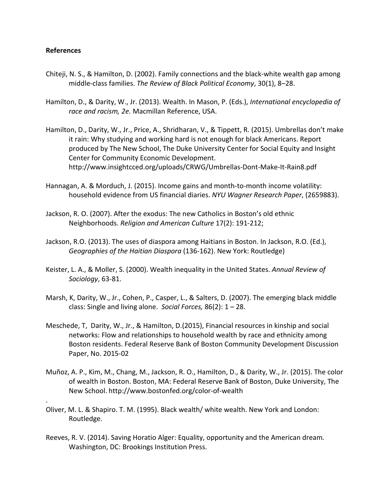# **References**

.

- Chiteji, N. S., & Hamilton, D. (2002). Family connections and the black-white wealth gap among middle-class families. *The Review of Black Political Economy*, 30(1), 8–28.
- Hamilton, D., & Darity, W., Jr. (2013). Wealth. In Mason, P. (Eds.), *International encyclopedia of race and racism, 2e.* Macmillan Reference, USA.
- Hamilton, D., Darity, W., Jr., Price, A., Shridharan, V., & Tippett, R. (2015). Umbrellas don't make it rain: Why studying and working hard is not enough for black Americans. Report produced by The New School, The Duke University Center for Social Equity and Insight Center for Community Economic Development. <http://www.insightcced.org/uploads/CRWG/Umbrellas-Dont-Make-It-Rain8.pdf>
- Hannagan, A. & Morduch, J. (2015). Income gains and month-to-month income volatility: household evidence from US financial diaries. *NYU Wagner Research Paper*, (2659883).
- Jackson, R. O. (2007). After the exodus: The new Catholics in Boston's old ethnic Neighborhoods. *Religion and American Culture* 17(2): 191-212;
- Jackson, R.O. (2013). The uses of diaspora among Haitians in Boston. In Jackson, R.O. (Ed.), *Geographies of the Haitian Diaspora* (136-162). New York: Routledge)
- Keister, L. A., & Moller, S. (2000). Wealth inequality in the United States. *Annual Review of Sociology*, 63-81.
- Marsh, K, Darity, W., Jr., Cohen, P., Casper, L., & Salters, D. (2007). The emerging black middle class: Single and living alone. *Social Forces,* 86(2): 1 – 28.
- Meschede, T, Darity, W., Jr., & Hamilton, D.(2015), Financial resources in kinship and social networks: Flow and relationships to household wealth by race and ethnicity among Boston residents. Federal Reserve Bank of Boston Community Development Discussion Paper, No. 2015-02
- Muñoz, A. P., Kim, M., Chang, M., Jackson, R. O., Hamilton, D., & Darity, W., Jr. (2015). The color of wealth in Boston. Boston, MA: Federal Reserve Bank of Boston, Duke University, The New School. http://www.bostonfed.org/color-of-wealth
- Oliver, M. L. & Shapiro. T. M. (1995). Black wealth/ white wealth. New York and London: Routledge.
- Reeves, R. V. (2014). Saving Horatio Alger: Equality, opportunity and the American dream*.*  Washington, DC: Brookings Institution Press.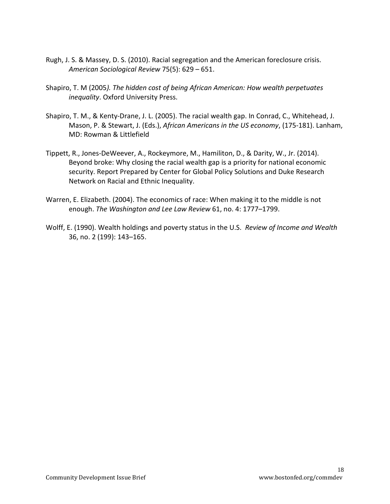- Rugh, J. S. & Massey, D. S. (2010). Racial segregation and the American foreclosure crisis. *American Sociological Review* 75(5): 629 – 651.
- Shapiro, T. M (2005*). The hidden cost of being African American: How wealth perpetuates inequality*. Oxford University Press.
- Shapiro, T. M., & Kenty-Drane, J. L. (2005). The racial wealth gap. In Conrad, C., Whitehead, J. Mason, P. & Stewart, J. (Eds.), *African Americans in the US economy*, (175-181). Lanham, MD: Rowman & Littlefield
- Tippett, R., Jones-DeWeever, A., Rockeymore, M., Hamiliton, D., & Darity, W., Jr. (2014). Beyond broke: Why closing the racial wealth gap is a priority for national economic security. Report Prepared by Center for Global Policy Solutions and Duke Research Network on Racial and Ethnic Inequality.
- Warren, E. Elizabeth. (2004). The economics of race: When making it to the middle is not enough. *The Washington and Lee Law Review* 61, no. 4: 1777–1799.
- Wolff, E. (1990). Wealth holdings and poverty status in the U.S. *Review of Income and Wealth* 36, no. 2 (199): 143–165.